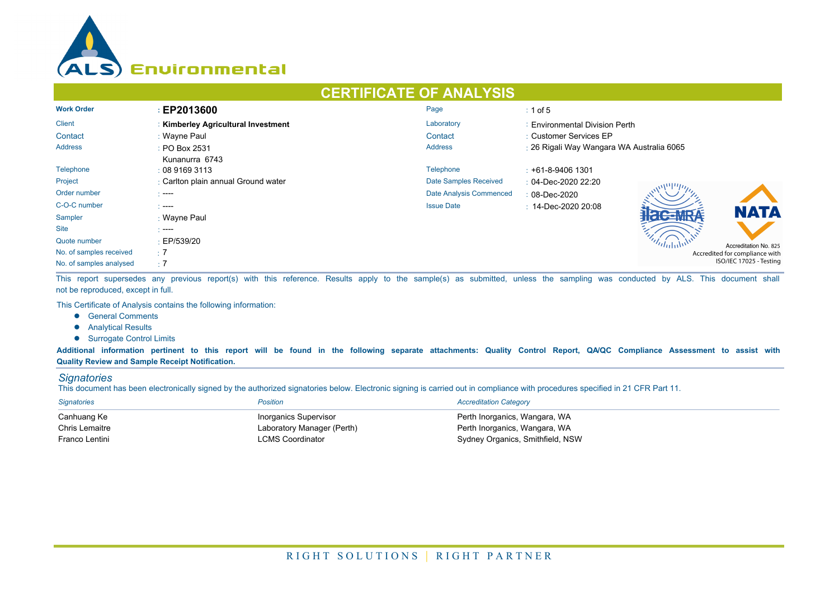

# **CERTIFICATE OF ANALYSIS**

| <b>Work Order</b>       | EP2013600                           | Page                    | $\div$ 1 of 5                             |  |  |
|-------------------------|-------------------------------------|-------------------------|-------------------------------------------|--|--|
| Client                  | : Kimberley Agricultural Investment | Laboratory              | : Environmental Division Perth            |  |  |
| Contact                 | : Wayne Paul                        | Contact                 | : Customer Services EP                    |  |  |
| <b>Address</b>          | : PO Box 2531                       | <b>Address</b>          | : 26 Rigali Way Wangara WA Australia 6065 |  |  |
|                         | Kunanurra 6743                      |                         |                                           |  |  |
| Telephone               | : 0891693113                        | Telephone               | $\div$ +61-8-9406 1301                    |  |  |
| Project                 | : Carlton plain annual Ground water | Date Samples Received   | $: 04$ -Dec-2020 22:20                    |  |  |
| Order number            | $\sim$ ----                         | Date Analysis Commenced | $: 08 - Dec - 2020$                       |  |  |
| C-O-C number            | $\sim$ ----                         | <b>Issue Date</b>       | $: 14$ -Dec-2020 20:08                    |  |  |
| Sampler                 | : Wayne Paul                        |                         | <b>NATA</b>                               |  |  |
| <b>Site</b>             | $\sim$ ----                         |                         |                                           |  |  |
| Quote number            | $\pm$ EP/539/20                     |                         | Accreditation No. 825                     |  |  |
| No. of samples received | $\therefore$ 7                      |                         | Accredited for compliance with            |  |  |
| No. of samples analysed | $\pm 7$                             |                         | ISO/IEC 17025 - Testing                   |  |  |

This report supersedes any previous report(s) with this reference. Results apply to the sample(s) as submitted, unless the sampling was conducted by ALS. This document shall not be reproduced, except in full.

This Certificate of Analysis contains the following information:

- **•** General Comments
- **•** Analytical Results
- **.** Surrogate Control Limits

Additional information pertinent to this report will be found in the following separate attachments: Quality Control Report, QA/QC Compliance Assessment to assist with **Quality Review and Sample Receipt Notification.**

#### *Signatories*

This document has been electronically signed by the authorized signatories below. Electronic signing is carried out in compliance with procedures specified in 21 CFR Part 11.

| <b>Signatories</b> | <b>Position</b>            | <b>Accreditation Category</b>    |
|--------------------|----------------------------|----------------------------------|
| Canhuang Ke        | Inorganics Supervisor      | Perth Inorganics, Wangara, WA    |
| Chris Lemaitre     | Laboratory Manager (Perth) | Perth Inorganics, Wangara, WA    |
| Franco Lentini     | <b>LCMS Coordinator</b>    | Sydney Organics, Smithfield, NSW |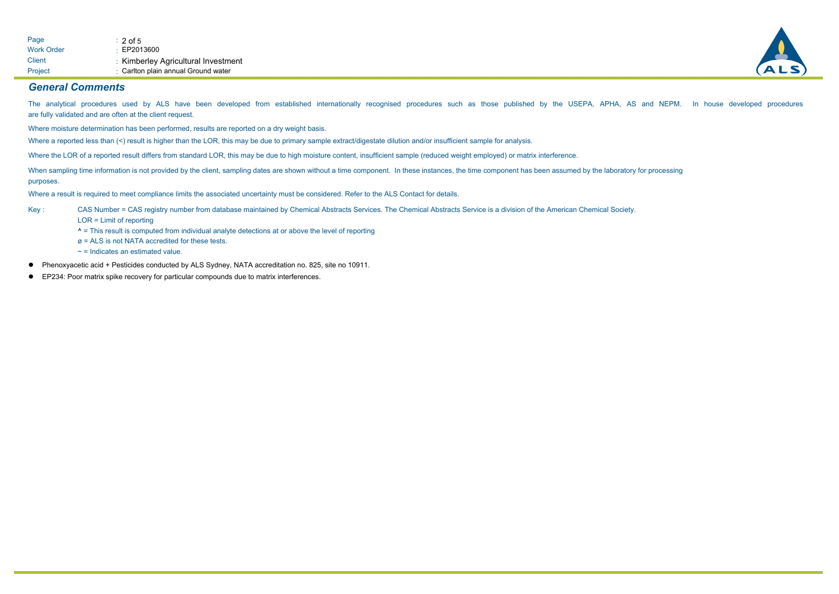

#### *General Comments*

The analytical procedures used by ALS have been developed from established internationally recognised procedures such as those published by the USEPA, APHA, AS and NEPM. In house developed procedures are fully validated and are often at the client request.

Where moisture determination has been performed, results are reported on a dry weight basis.

Where a reported less than (<) result is higher than the LOR, this may be due to primary sample extract/digestate dilution and/or insufficient sample for analysis.

Where the LOR of a reported result differs from standard LOR, this may be due to high moisture content, insufficient sample (reduced weight employed) or matrix interference.

When sampling time information is not provided by the client, sampling dates are shown without a time component. In these instances, the time component has been assumed by the laboratory for processing purposes.

Where a result is required to meet compliance limits the associated uncertainty must be considered. Refer to the ALS Contact for details.

CAS Number = CAS registry number from database maintained by Chemical Abstracts Services. The Chemical Abstracts Service is a division of the American Chemical Society. Key :

LOR = Limit of reporting

**^** = This result is computed from individual analyte detections at or above the level of reporting

 $\alpha$  = ALS is not NATA accredited for these tests.

 $\sim$  = Indicates an estimated value.

l Phenoxyacetic acid + Pesticides conducted by ALS Sydney, NATA accreditation no. 825, site no 10911.

**EP234: Poor matrix spike recovery for particular compounds due to matrix interferences.**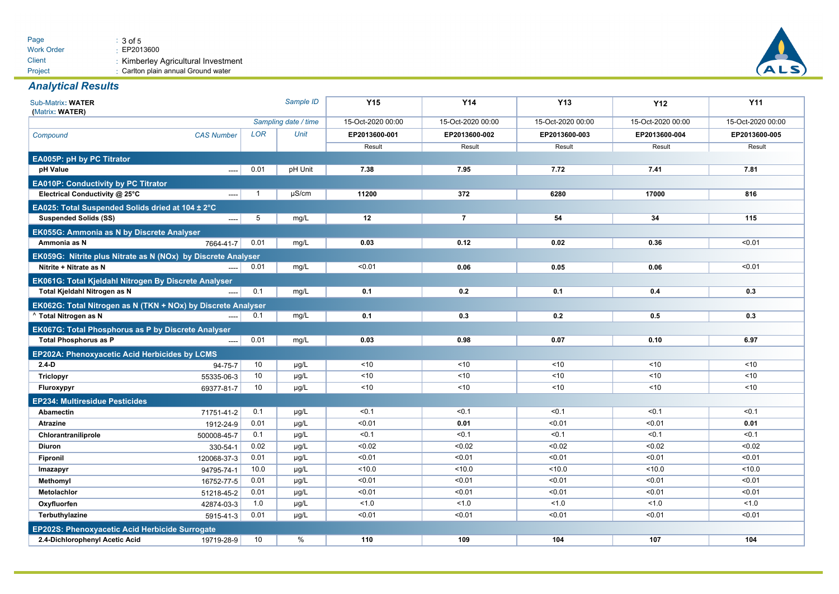

### *Analytical Results*

| Sub-Matrix: WATER<br>(Matrix: WATER)                         |                          |              | Sample ID            | <b>Y15</b>        | <b>Y14</b>        | <b>Y13</b>        | <b>Y12</b>        | <b>Y11</b>        |  |
|--------------------------------------------------------------|--------------------------|--------------|----------------------|-------------------|-------------------|-------------------|-------------------|-------------------|--|
|                                                              |                          |              | Sampling date / time | 15-Oct-2020 00:00 | 15-Oct-2020 00:00 | 15-Oct-2020 00:00 | 15-Oct-2020 00:00 | 15-Oct-2020 00:00 |  |
| Compound                                                     | <b>CAS Number</b>        | LOR          | Unit                 | EP2013600-001     | EP2013600-002     | EP2013600-003     | EP2013600-004     | EP2013600-005     |  |
|                                                              |                          |              |                      | Result            | Result            | Result            | Result            | Result            |  |
| <b>EA005P: pH by PC Titrator</b>                             |                          |              |                      |                   |                   |                   |                   |                   |  |
| pH Value                                                     | $---$                    | 0.01         | pH Unit              | 7.38              | 7.95              | 7.72              | 7.41              | 7.81              |  |
| <b>EA010P: Conductivity by PC Titrator</b>                   |                          |              |                      |                   |                   |                   |                   |                   |  |
| Electrical Conductivity @ 25°C                               | $\overline{a}$           | $\mathbf{1}$ | $\mu$ S/cm           | 11200             | 372               | 6280              | 17000             | 816               |  |
| EA025: Total Suspended Solids dried at 104 ± 2°C             |                          |              |                      |                   |                   |                   |                   |                   |  |
| <b>Suspended Solids (SS)</b>                                 | $\overline{\phantom{a}}$ | 5            | mg/L                 | 12                | $\overline{7}$    | 54                | 34                | 115               |  |
| EK055G: Ammonia as N by Discrete Analyser                    |                          |              |                      |                   |                   |                   |                   |                   |  |
| Ammonia as N                                                 | 7664-41-7                | 0.01         | mg/L                 | 0.03              | 0.12              | 0.02              | 0.36              | < 0.01            |  |
| EK059G: Nitrite plus Nitrate as N (NOx) by Discrete Analyser |                          |              |                      |                   |                   |                   |                   |                   |  |
| Nitrite + Nitrate as N                                       |                          | 0.01         | mg/L                 | < 0.01            | 0.06              | 0.05              | 0.06              | < 0.01            |  |
| EK061G: Total Kjeldahl Nitrogen By Discrete Analyser         |                          |              |                      |                   |                   |                   |                   |                   |  |
| Total Kjeldahl Nitrogen as N                                 |                          | 0.1          | mg/L                 | 0.1               | 0.2               | 0.1               | 0.4               | 0.3               |  |
| EK062G: Total Nitrogen as N (TKN + NOx) by Discrete Analyser |                          |              |                      |                   |                   |                   |                   |                   |  |
| ^ Total Nitrogen as N                                        |                          | 0.1          | mg/L                 | 0.1               | 0.3               | 0.2               | 0.5               | 0.3               |  |
| EK067G: Total Phosphorus as P by Discrete Analyser           |                          |              |                      |                   |                   |                   |                   |                   |  |
| <b>Total Phosphorus as P</b>                                 | $---$                    | 0.01         | mg/L                 | 0.03              | 0.98              | 0.07              | 0.10              | 6.97              |  |
| EP202A: Phenoxyacetic Acid Herbicides by LCMS                |                          |              |                      |                   |                   |                   |                   |                   |  |
| $2.4-D$                                                      | 94-75-7                  | 10           | µg/L                 | ~10               | < 10              | < 10              | ~10               | < 10              |  |
| <b>Triclopyr</b>                                             | 55335-06-3               | 10           | $\mu$ g/L            | ~10               | ~10               | ~10               | ~10               | ~10               |  |
| Fluroxypyr                                                   | 69377-81-7               | 10           | µg/L                 | ~10               | < 10              | < 10              | ~10               | < 10              |  |
| <b>EP234: Multiresidue Pesticides</b>                        |                          |              |                      |                   |                   |                   |                   |                   |  |
| Abamectin                                                    | 71751-41-2               | 0.1          | µg/L                 | < 0.1             | < 0.1             | < 0.1             | < 0.1             | < 0.1             |  |
| <b>Atrazine</b>                                              | 1912-24-9                | 0.01         | µg/L                 | < 0.01            | 0.01              | < 0.01            | < 0.01            | 0.01              |  |
| Chlorantraniliprole                                          | 500008-45-7              | 0.1          | µg/L                 | < 0.1             | < 0.1             | < 0.1             | < 0.1             | < 0.1             |  |
| <b>Diuron</b>                                                | 330-54-1                 | 0.02         | µg/L                 | < 0.02            | < 0.02            | < 0.02            | < 0.02            | < 0.02            |  |
| Fipronil                                                     | 120068-37-3              | 0.01         | µg/L                 | < 0.01            | < 0.01            | < 0.01            | < 0.01            | < 0.01            |  |
| Imazapyr                                                     | 94795-74-1               | 10.0         | µg/L                 | < 10.0            | 10.0              | 10.0              | < 10.0            | < 10.0            |  |
| Methomyl                                                     | 16752-77-5               | 0.01         | $\mu$ g/L            | < 0.01            | < 0.01            | < 0.01            | < 0.01            | < 0.01            |  |
| Metolachlor                                                  | 51218-45-2               | 0.01         | µg/L                 | < 0.01            | < 0.01            | < 0.01            | < 0.01            | < 0.01            |  |
| Oxyfluorfen                                                  | 42874-03-3               | 1.0          | µg/L                 | < 1.0             | < 1.0             | 1.0               | 1.0               | 1.0               |  |
| Terbuthylazine                                               | 5915-41-3                | 0.01         | µg/L                 | < 0.01            | < 0.01            | < 0.01            | < 0.01            | < 0.01            |  |
| <b>EP202S: Phenoxyacetic Acid Herbicide Surrogate</b>        |                          |              |                      |                   |                   |                   |                   |                   |  |
| 2.4-Dichlorophenyl Acetic Acid                               | 19719-28-9               | 10           | %                    | 110               | 109               | 104               | 107               | 104               |  |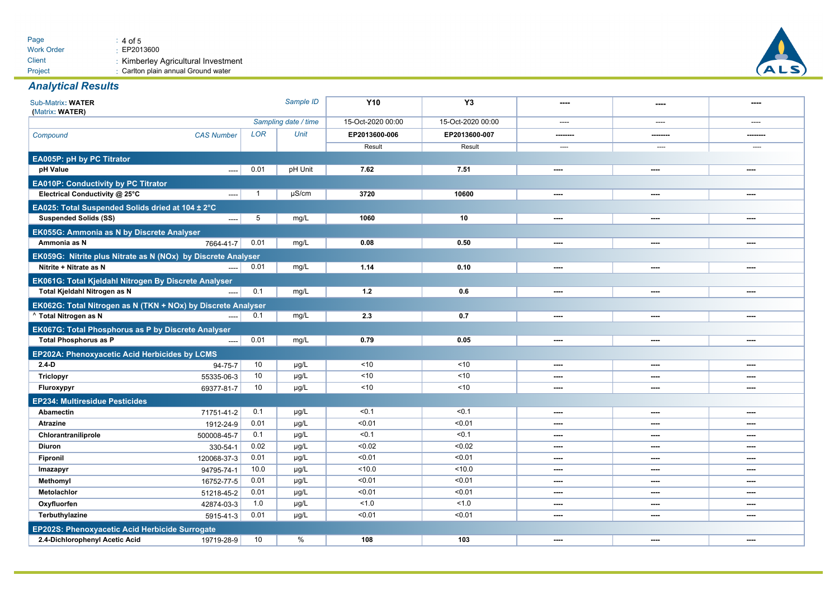

### *Analytical Results*

| Sub-Matrix: WATER<br>(Matrix: WATER)                         |                      |              | Sample ID         | <b>Y10</b>        | Y <sub>3</sub> | ----      | $\overline{\phantom{a}}$ | ----           |  |
|--------------------------------------------------------------|----------------------|--------------|-------------------|-------------------|----------------|-----------|--------------------------|----------------|--|
|                                                              | Sampling date / time |              | 15-Oct-2020 00:00 | 15-Oct-2020 00:00 | $---$          | $---$     | $---$                    |                |  |
| Compound                                                     | <b>CAS Number</b>    | <b>LOR</b>   | Unit              | EP2013600-006     | EP2013600-007  | ------    | -------                  |                |  |
|                                                              |                      |              |                   | Result            | Result         | ----      | ----                     |                |  |
| EA005P: pH by PC Titrator                                    |                      |              |                   |                   |                |           |                          |                |  |
| pH Value                                                     | $\overline{a}$       | 0.01         | pH Unit           | 7.62              | 7.51           | $\cdots$  | $\cdots$                 | $\cdots$       |  |
| <b>EA010P: Conductivity by PC Titrator</b>                   |                      |              |                   |                   |                |           |                          |                |  |
| Electrical Conductivity @ 25°C                               | $\overline{a}$       | $\mathbf{1}$ | $\mu$ S/cm        | 3720              | 10600          | $\sim$    | $\sim$                   | ----           |  |
| EA025: Total Suspended Solids dried at 104 ± 2°C             |                      |              |                   |                   |                |           |                          |                |  |
| <b>Suspended Solids (SS)</b>                                 | ----                 | 5            | mg/L              | 1060              | 10             | ----      | ----                     | $\cdots$       |  |
| EK055G: Ammonia as N by Discrete Analyser                    |                      |              |                   |                   |                |           |                          |                |  |
| Ammonia as N                                                 | 7664-41-7            | 0.01         | mg/L              | 0.08              | 0.50           | ----      | ----                     | ----           |  |
| EK059G: Nitrite plus Nitrate as N (NOx) by Discrete Analyser |                      |              |                   |                   |                |           |                          |                |  |
| Nitrite + Nitrate as N                                       |                      | 0.01         | mg/L              | 1.14              | 0.10           | $---$     | ----                     | $\cdots$       |  |
| EK061G: Total Kjeldahl Nitrogen By Discrete Analyser         |                      |              |                   |                   |                |           |                          |                |  |
| Total Kjeldahl Nitrogen as N                                 |                      | 0.1          | mg/L              | 1.2               | 0.6            | $\sim$    | ----                     | $\overline{a}$ |  |
| EK062G: Total Nitrogen as N (TKN + NOx) by Discrete Analyser |                      |              |                   |                   |                |           |                          |                |  |
| <sup>^</sup> Total Nitrogen as N                             | ----                 | 0.1          | mg/L              | 2.3               | 0.7            | $---$     | ----                     | $\cdots$       |  |
| EK067G: Total Phosphorus as P by Discrete Analyser           |                      |              |                   |                   |                |           |                          |                |  |
| <b>Total Phosphorus as P</b>                                 |                      | 0.01         | mg/L              | 0.79              | 0.05           | ----      | ----                     | $\sim$         |  |
| EP202A: Phenoxyacetic Acid Herbicides by LCMS                |                      |              |                   |                   |                |           |                          |                |  |
| $2.4-D$                                                      | 94-75-7              | 10           | $\mu$ g/L         | ~10               | ~10            | ----      | ----                     | ----           |  |
| <b>Triclopyr</b>                                             | 55335-06-3           | 10           | µg/L              | < 10              | < 10           | $\cdots$  | ----                     | $\sim$         |  |
| Fluroxypyr                                                   | 69377-81-7           | 10           | µg/L              | ~10               | < 10           | $---$     | ----                     | ----           |  |
| <b>EP234: Multiresidue Pesticides</b>                        |                      |              |                   |                   |                |           |                          |                |  |
| <b>Abamectin</b>                                             | 71751-41-2           | 0.1          | $\mu$ g/L         | < 0.1             | < 0.1          | ----      | $\sim$                   | $\sim$         |  |
| <b>Atrazine</b>                                              | 1912-24-9            | 0.01         | µg/L              | < 0.01            | < 0.01         | ----      | ----                     | ----           |  |
| Chlorantraniliprole                                          | 500008-45-7          | 0.1          | µg/L              | < 0.1             | < 0.1          | $\sim$    | $\sim$                   | $\overline{a}$ |  |
| <b>Diuron</b>                                                | 330-54-1             | 0.02         | µg/L              | < 0.02            | < 0.02         | ----      | ----                     | ----           |  |
| Fipronil                                                     | 120068-37-3          | 0.01         | µg/L              | < 0.01            | < 0.01         | $\cdots$  | $\cdots$                 | $\cdots$       |  |
| Imazapyr                                                     | 94795-74-1           | 10.0         | µg/L              | < 10.0            | < 10.0         | $\cdots$  | ----                     | $\cdots$       |  |
| Methomyl                                                     | 16752-77-5           | 0.01         | µg/L              | < 0.01            | < 0.01         | ----      | ----                     | $\cdots$       |  |
| Metolachlor                                                  | 51218-45-2           | 0.01         | µg/L              | < 0.01            | < 0.01         | $\sim$    | $\sim$                   | $\overline{a}$ |  |
| Oxyfluorfen                                                  | 42874-03-3           | 1.0          | µg/L              | 1.0               | 1.0            | $- - - -$ | ----                     | $\cdots$       |  |
| Terbuthylazine                                               | 5915-41-3            | 0.01         | µg/L              | < 0.01            | < 0.01         | $\sim$    | $\sim$                   | $\sim$         |  |
| EP202S: Phenoxyacetic Acid Herbicide Surrogate               |                      |              |                   |                   |                |           |                          |                |  |
| 2.4-Dichlorophenyl Acetic Acid                               | 19719-28-9           | 10           | $\frac{0}{0}$     | 108               | 103            | ----      | ----                     | ----           |  |